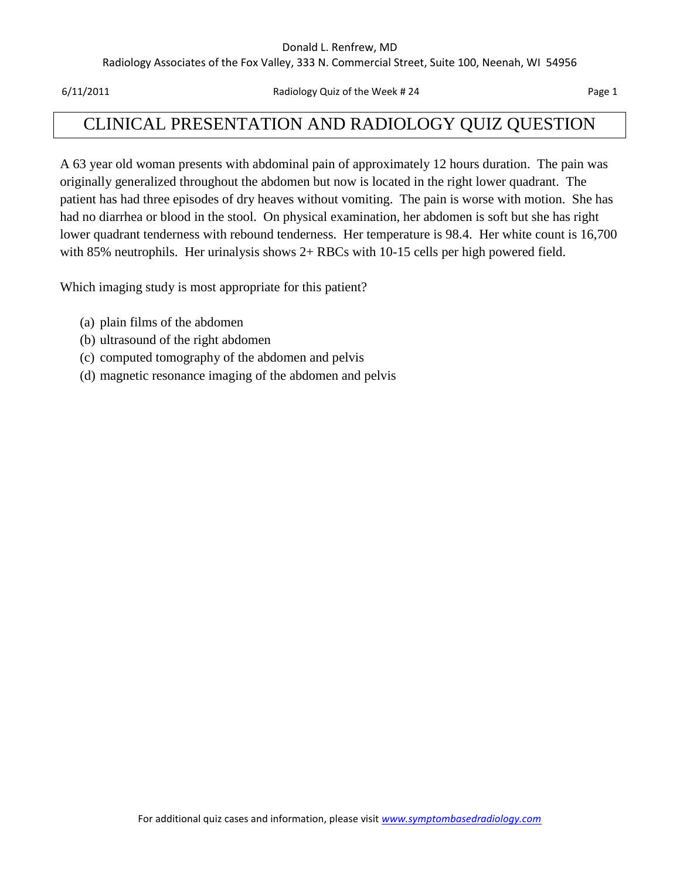#### Donald L. Renfrew, MD

Radiology Associates of the Fox Valley, 333 N. Commercial Street, Suite 100, Neenah, WI 54956

6/11/2011 Radiology Quiz of the Week # 24 Page 1

### CLINICAL PRESENTATION AND RADIOLOGY QUIZ QUESTION

A 63 year old woman presents with abdominal pain of approximately 12 hours duration. The pain was originally generalized throughout the abdomen but now is located in the right lower quadrant. The patient has had three episodes of dry heaves without vomiting. The pain is worse with motion. She has had no diarrhea or blood in the stool. On physical examination, her abdomen is soft but she has right lower quadrant tenderness with rebound tenderness. Her temperature is 98.4. Her white count is 16,700 with 85% neutrophils. Her urinalysis shows 2+ RBCs with 10-15 cells per high powered field.

Which imaging study is most appropriate for this patient?

- (a) plain films of the abdomen
- (b) ultrasound of the right abdomen
- (c) computed tomography of the abdomen and pelvis
- (d) magnetic resonance imaging of the abdomen and pelvis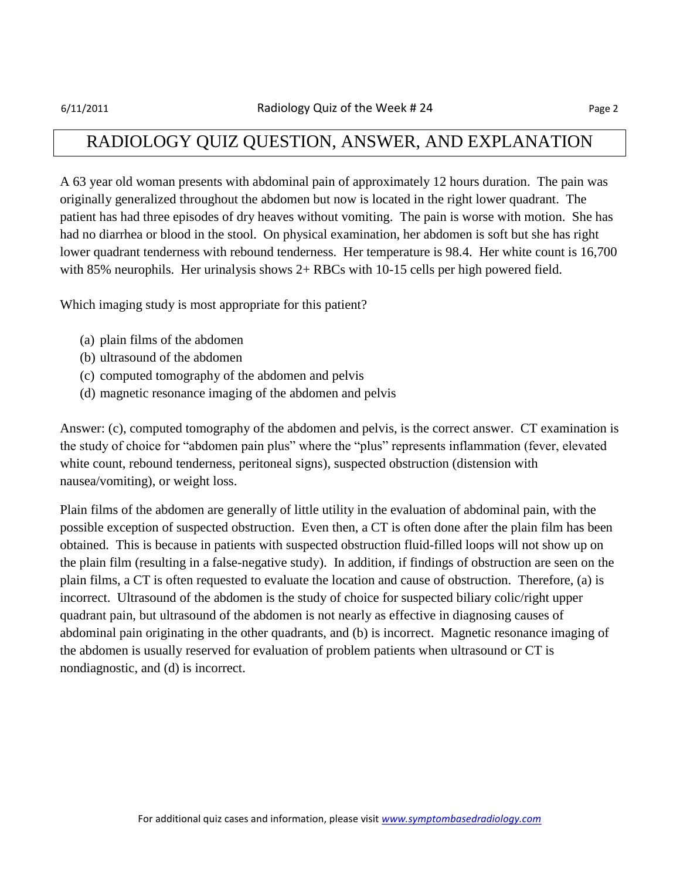### RADIOLOGY QUIZ QUESTION, ANSWER, AND EXPLANATION

A 63 year old woman presents with abdominal pain of approximately 12 hours duration. The pain was originally generalized throughout the abdomen but now is located in the right lower quadrant. The patient has had three episodes of dry heaves without vomiting. The pain is worse with motion. She has had no diarrhea or blood in the stool. On physical examination, her abdomen is soft but she has right lower quadrant tenderness with rebound tenderness. Her temperature is 98.4. Her white count is 16,700 with 85% neurophils. Her urinalysis shows 2+ RBCs with 10-15 cells per high powered field.

Which imaging study is most appropriate for this patient?

- (a) plain films of the abdomen
- (b) ultrasound of the abdomen
- (c) computed tomography of the abdomen and pelvis
- (d) magnetic resonance imaging of the abdomen and pelvis

Answer: (c), computed tomography of the abdomen and pelvis, is the correct answer. CT examination is the study of choice for "abdomen pain plus" where the "plus" represents inflammation (fever, elevated white count, rebound tenderness, peritoneal signs), suspected obstruction (distension with nausea/vomiting), or weight loss.

Plain films of the abdomen are generally of little utility in the evaluation of abdominal pain, with the possible exception of suspected obstruction. Even then, a CT is often done after the plain film has been obtained. This is because in patients with suspected obstruction fluid-filled loops will not show up on the plain film (resulting in a false-negative study). In addition, if findings of obstruction are seen on the plain films, a CT is often requested to evaluate the location and cause of obstruction. Therefore, (a) is incorrect. Ultrasound of the abdomen is the study of choice for suspected biliary colic/right upper quadrant pain, but ultrasound of the abdomen is not nearly as effective in diagnosing causes of abdominal pain originating in the other quadrants, and (b) is incorrect. Magnetic resonance imaging of the abdomen is usually reserved for evaluation of problem patients when ultrasound or CT is nondiagnostic, and (d) is incorrect.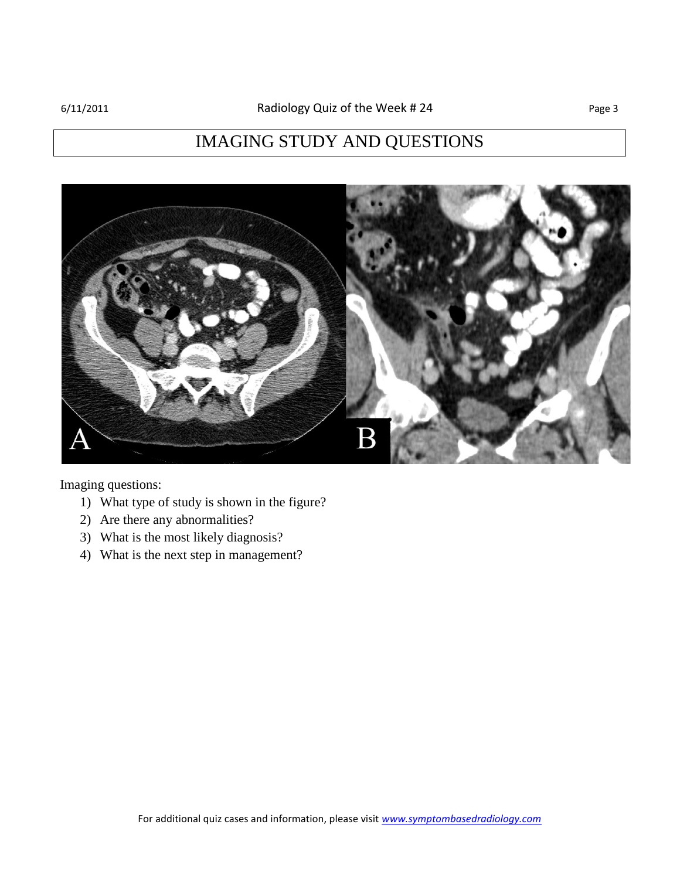# IMAGING STUDY AND QUESTIONS



Imaging questions:

- 1) What type of study is shown in the figure?
- 2) Are there any abnormalities?
- 3) What is the most likely diagnosis?
- 4) What is the next step in management?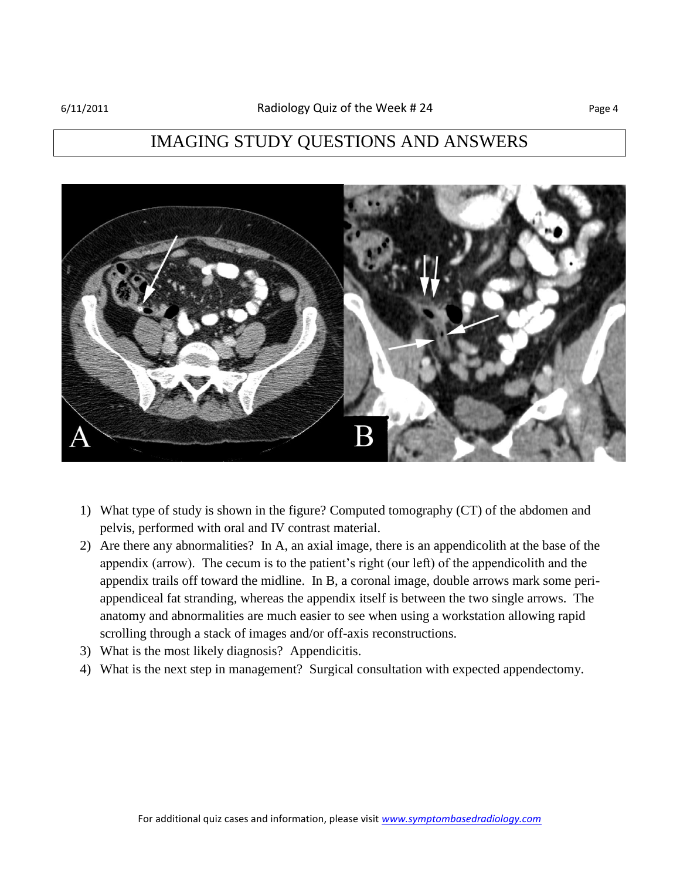## IMAGING STUDY QUESTIONS AND ANSWERS



- 1) What type of study is shown in the figure? Computed tomography (CT) of the abdomen and pelvis, performed with oral and IV contrast material.
- 2) Are there any abnormalities? In A, an axial image, there is an appendicolith at the base of the appendix (arrow). The cecum is to the patient's right (our left) of the appendicolith and the appendix trails off toward the midline. In B, a coronal image, double arrows mark some periappendiceal fat stranding, whereas the appendix itself is between the two single arrows. The anatomy and abnormalities are much easier to see when using a workstation allowing rapid scrolling through a stack of images and/or off-axis reconstructions.
- 3) What is the most likely diagnosis? Appendicitis.
- 4) What is the next step in management? Surgical consultation with expected appendectomy.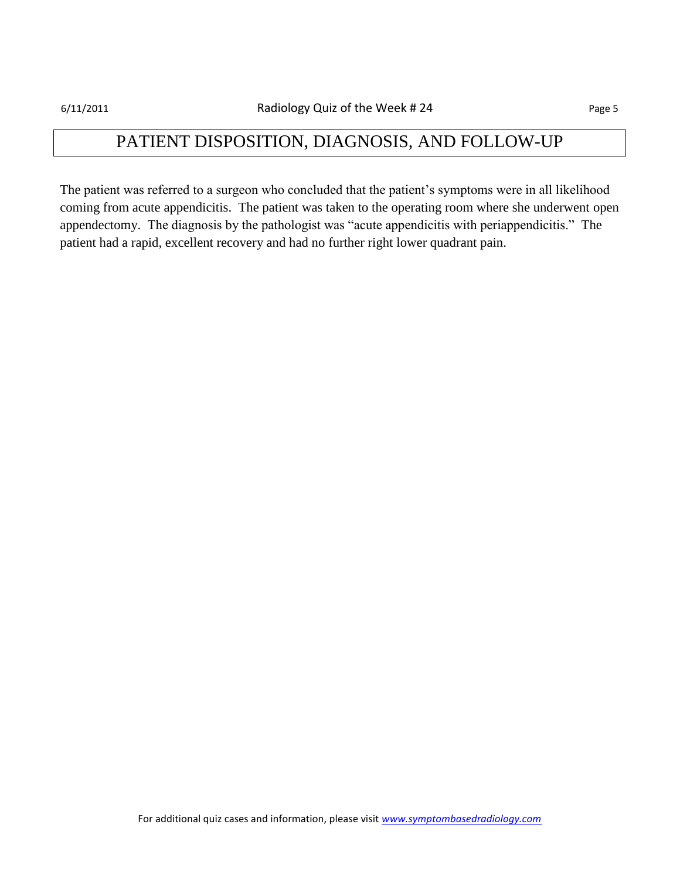### PATIENT DISPOSITION, DIAGNOSIS, AND FOLLOW-UP

The patient was referred to a surgeon who concluded that the patient's symptoms were in all likelihood coming from acute appendicitis. The patient was taken to the operating room where she underwent open appendectomy. The diagnosis by the pathologist was "acute appendicitis with periappendicitis." The patient had a rapid, excellent recovery and had no further right lower quadrant pain.